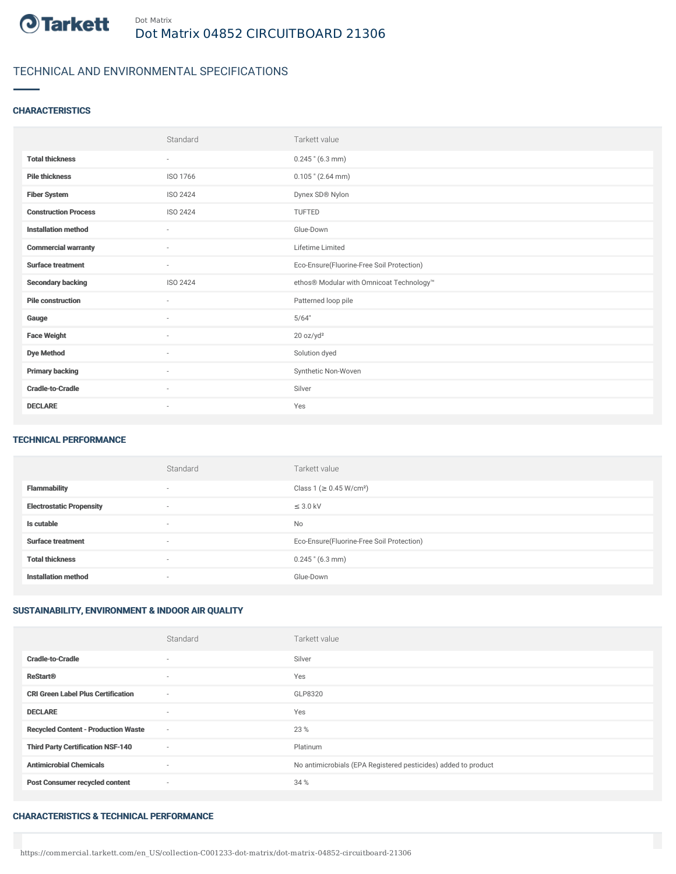

# TECHNICAL AND ENVIRONMENTAL SPECIFICATIONS

### **CHARACTERISTICS**

|                             | Standard                 | Tarkett value                             |
|-----------------------------|--------------------------|-------------------------------------------|
| <b>Total thickness</b>      | $\sim$                   | $0.245$ " (6.3 mm)                        |
| <b>Pile thickness</b>       | ISO 1766                 | $0.105$ " (2.64 mm)                       |
| <b>Fiber System</b>         | ISO 2424                 | Dynex SD® Nylon                           |
| <b>Construction Process</b> | ISO 2424                 | <b>TUFTED</b>                             |
| <b>Installation method</b>  | $\sim$                   | Glue-Down                                 |
| <b>Commercial warranty</b>  | $\sim$                   | Lifetime Limited                          |
| <b>Surface treatment</b>    | $\sim$                   | Eco-Ensure(Fluorine-Free Soil Protection) |
| <b>Secondary backing</b>    | ISO 2424                 | ethos® Modular with Omnicoat Technology™  |
| <b>Pile construction</b>    | $\sim$                   | Patterned loop pile                       |
| Gauge                       | $\sim$                   | 5/64"                                     |
| <b>Face Weight</b>          | ٠                        | 20 oz/yd <sup>2</sup>                     |
| <b>Dye Method</b>           | $\overline{\phantom{a}}$ | Solution dyed                             |
| <b>Primary backing</b>      | ×                        | Synthetic Non-Woven                       |
| <b>Cradle-to-Cradle</b>     | ÷                        | Silver                                    |
| <b>DECLARE</b>              | $\overline{\phantom{a}}$ | Yes                                       |

#### TECHNICAL PERFORMANCE

|                                 | Standard                 | Tarkett value                             |
|---------------------------------|--------------------------|-------------------------------------------|
| <b>Flammability</b>             | $\overline{\phantom{a}}$ | Class 1 (≥ 0.45 W/cm <sup>2</sup> )       |
| <b>Electrostatic Propensity</b> | $\sim$                   | $\leq$ 3.0 kV                             |
| Is cutable                      | $\sim$                   | No                                        |
| <b>Surface treatment</b>        | $\sim$                   | Eco-Ensure(Fluorine-Free Soil Protection) |
| <b>Total thickness</b>          | $\sim$                   | $0.245$ " (6.3 mm)                        |
| <b>Installation method</b>      | $\sim$                   | Glue-Down                                 |

### SUSTAINABILITY, ENVIRONMENT & INDOOR AIR QUALITY

|                                            | Standard | Tarkett value                                                  |
|--------------------------------------------|----------|----------------------------------------------------------------|
| <b>Cradle-to-Cradle</b>                    | $\sim$   | Silver                                                         |
| <b>ReStart®</b>                            | $\sim$   | Yes                                                            |
| <b>CRI Green Label Plus Certification</b>  | $\sim$   | GLP8320                                                        |
| <b>DECLARE</b>                             | $\sim$   | Yes                                                            |
| <b>Recycled Content - Production Waste</b> | $\sim$   | 23 %                                                           |
| <b>Third Party Certification NSF-140</b>   | $\sim$   | Platinum                                                       |
| <b>Antimicrobial Chemicals</b>             | $\sim$   | No antimicrobials (EPA Registered pesticides) added to product |
| <b>Post Consumer recycled content</b>      | $\sim$   | 34 %                                                           |

#### CHARACTERISTICS & TECHNICAL PERFORMANCE